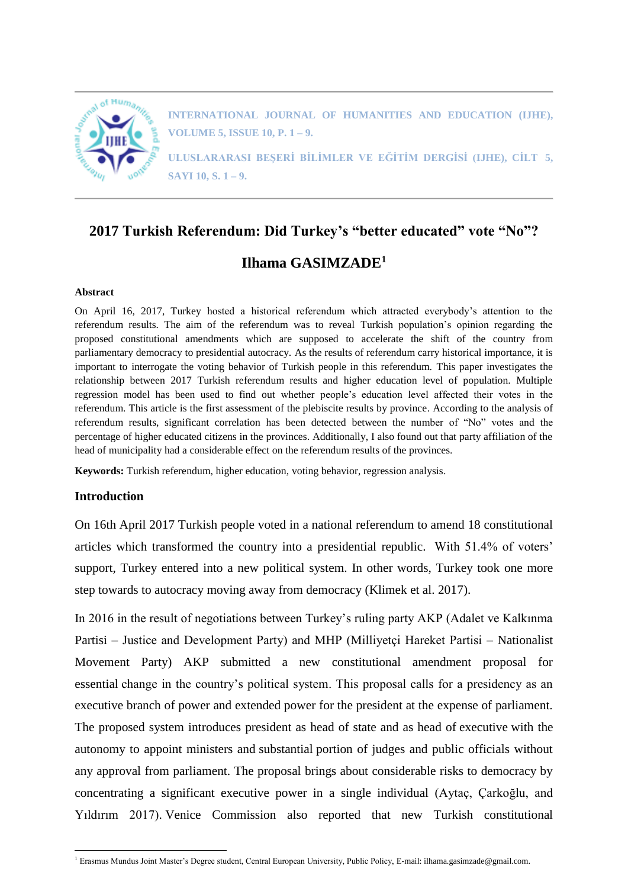

**INTERNATIONAL JOURNAL OF HUMANITIES AND EDUCATION (IJHE), VOLUME 5, ISSUE 10, P. 1 – 9.**

**ULUSLARARASI BEŞERİ BİLİMLER VE EĞİTİM DERGİSİ (IJHE), CİLT 5, SAYI 10, S. 1 – 9.**

# **2017 Turkish Referendum: Did Turkey's "better educated" vote "No"? Ilhama GASIMZADE<sup>1</sup>**

#### **Abstract**

On April 16, 2017, Turkey hosted a historical referendum which attracted everybody's attention to the referendum results. The aim of the referendum was to reveal Turkish population's opinion regarding the proposed constitutional amendments which are supposed to accelerate the shift of the country from parliamentary democracy to presidential autocracy. As the results of referendum carry historical importance, it is important to interrogate the voting behavior of Turkish people in this referendum. This paper investigates the relationship between 2017 Turkish referendum results and higher education level of population. Multiple regression model has been used to find out whether people's education level affected their votes in the referendum. This article is the first assessment of the plebiscite results by province. According to the analysis of referendum results, significant correlation has been detected between the number of "No" votes and the percentage of higher educated citizens in the provinces. Additionally, I also found out that party affiliation of the head of municipality had a considerable effect on the referendum results of the provinces.

**Keywords:** Turkish referendum, higher education, voting behavior, regression analysis.

# **Introduction**

 $\overline{a}$ 

On 16th April 2017 Turkish people voted in a national referendum to amend 18 constitutional articles which transformed the country into a presidential republic. With 51.4% of voters' support, Turkey entered into a new political system. In other words, Turkey took one more step towards to autocracy moving away from democracy (Klimek et al. 2017).

In 2016 in the result of negotiations between Turkey's ruling party AKP (Adalet ve Kalkınma Partisi – Justice and Development Party) and MHP (Milliyetçi Hareket Partisi – Nationalist Movement Party) AKP submitted a new constitutional amendment proposal for essential change in the country's political system. This proposal calls for a presidency as an executive branch of power and extended power for the president at the expense of parliament. The proposed system introduces president as head of state and as head of executive with the autonomy to appoint ministers and substantial portion of judges and public officials without any approval from parliament. The proposal brings about considerable risks to democracy by concentrating a significant executive power in a single individual (Aytaç, Çarkoğlu, and Yıldırım 2017). Venice Commission also reported that new Turkish constitutional

<sup>&</sup>lt;sup>1</sup> Erasmus Mundus Joint Master's Degree student, Central European University, Public Policy, E-mail: ilhama.gasimzade@gmail.com.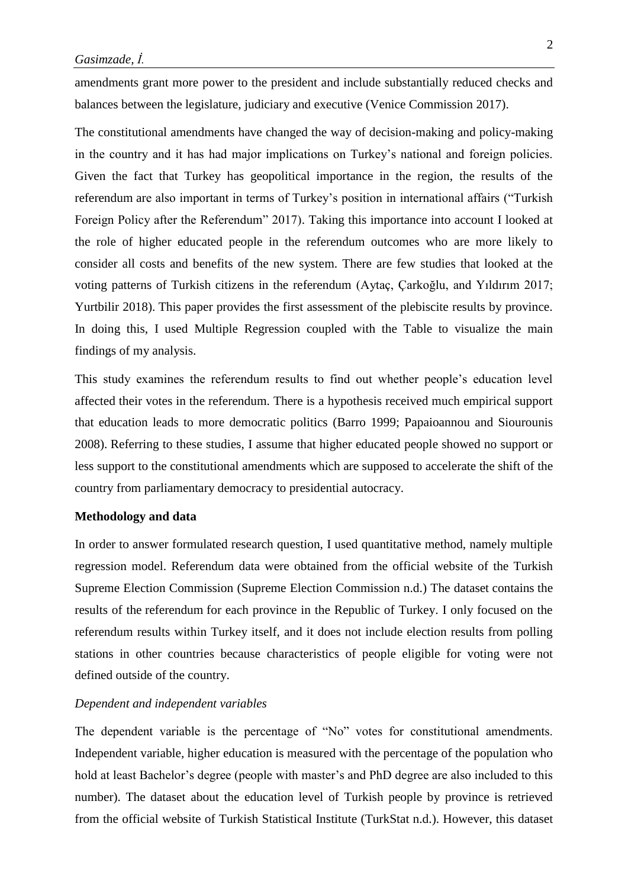amendments grant more power to the president and include substantially reduced checks and balances between the legislature, judiciary and executive (Venice Commission 2017).

The constitutional amendments have changed the way of decision-making and policy-making in the country and it has had major implications on Turkey's national and foreign policies. Given the fact that Turkey has geopolitical importance in the region, the results of the referendum are also important in terms of Turkey's position in international affairs ("Turkish Foreign Policy after the Referendum" 2017). Taking this importance into account I looked at the role of higher educated people in the referendum outcomes who are more likely to consider all costs and benefits of the new system. There are few studies that looked at the voting patterns of Turkish citizens in the referendum (Aytaç, Çarkoğlu, and Yıldırım 2017; Yurtbilir 2018). This paper provides the first assessment of the plebiscite results by province. In doing this, I used Multiple Regression coupled with the Table to visualize the main findings of my analysis.

This study examines the referendum results to find out whether people's education level affected their votes in the referendum. There is a hypothesis received much empirical support that education leads to more democratic politics (Barro 1999; Papaioannou and Siourounis 2008). Referring to these studies, I assume that higher educated people showed no support or less support to the constitutional amendments which are supposed to accelerate the shift of the country from parliamentary democracy to presidential autocracy.

# **Methodology and data**

In order to answer formulated research question, I used quantitative method, namely multiple regression model. Referendum data were obtained from the official website of the Turkish Supreme Election Commission (Supreme Election Commission n.d.) The dataset contains the results of the referendum for each province in the Republic of Turkey. I only focused on the referendum results within Turkey itself, and it does not include election results from polling stations in other countries because characteristics of people eligible for voting were not defined outside of the country.

# *Dependent and independent variables*

The dependent variable is the percentage of "No" votes for constitutional amendments. Independent variable, higher education is measured with the percentage of the population who hold at least Bachelor's degree (people with master's and PhD degree are also included to this number). The dataset about the education level of Turkish people by province is retrieved from the official website of Turkish Statistical Institute (TurkStat n.d.). However, this dataset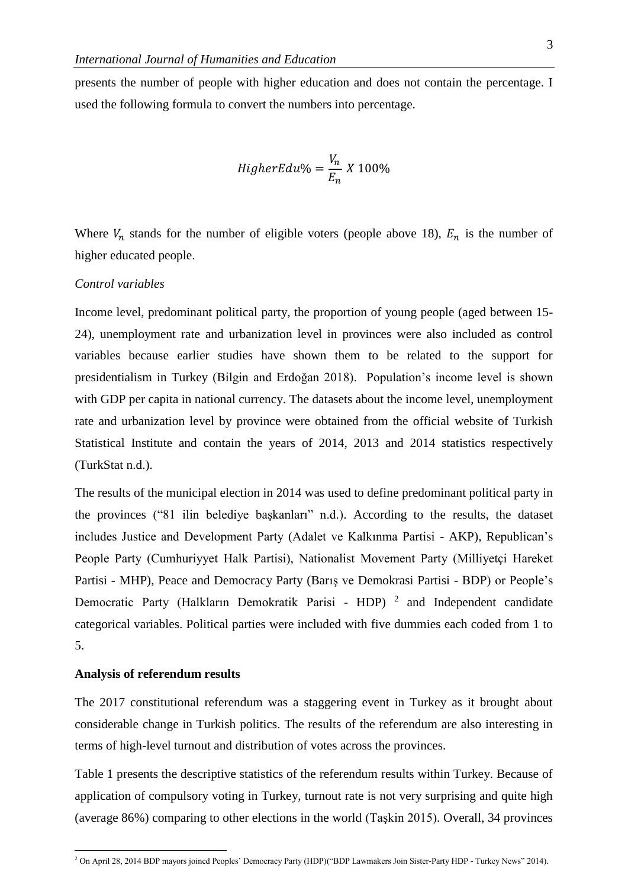presents the number of people with higher education and does not contain the percentage. I used the following formula to convert the numbers into percentage.

$$
HigherEdu\% = \frac{V_n}{E_n} \times 100\%
$$

Where  $V_n$  stands for the number of eligible voters (people above 18),  $E_n$  is the number of higher educated people.

# *Control variables*

Income level, predominant political party, the proportion of young people (aged between 15- 24), unemployment rate and urbanization level in provinces were also included as control variables because earlier studies have shown them to be related to the support for presidentialism in Turkey (Bilgin and Erdoğan 2018). Population's income level is shown with GDP per capita in national currency. The datasets about the income level, unemployment rate and urbanization level by province were obtained from the official website of Turkish Statistical Institute and contain the years of 2014, 2013 and 2014 statistics respectively (TurkStat n.d.).

The results of the municipal election in 2014 was used to define predominant political party in the provinces ("81 ilin belediye başkanları" n.d.). According to the results, the dataset includes Justice and Development Party (Adalet ve Kalkınma Partisi - AKP), Republican's People Party (Cumhuriyyet Halk Partisi), Nationalist Movement Party (Milliyetçi Hareket Partisi - MHP), Peace and Democracy Party (Barış ve Demokrasi Partisi - BDP) or People's Democratic Party (Halkların Demokratik Parisi - HDP)<sup>2</sup> and Independent candidate categorical variables. Political parties were included with five dummies each coded from 1 to 5.

#### **Analysis of referendum results**

 $\overline{a}$ 

The 2017 constitutional referendum was a staggering event in Turkey as it brought about considerable change in Turkish politics. The results of the referendum are also interesting in terms of high-level turnout and distribution of votes across the provinces.

Table 1 presents the descriptive statistics of the referendum results within Turkey. Because of application of compulsory voting in Turkey, turnout rate is not very surprising and quite high (average 86%) comparing to other elections in the world (Taşkin 2015). Overall, 34 provinces

<sup>2</sup> On April 28, 2014 BDP mayors joined Peoples' Democracy Party (HDP)("BDP Lawmakers Join Sister-Party HDP - Turkey News" 2014).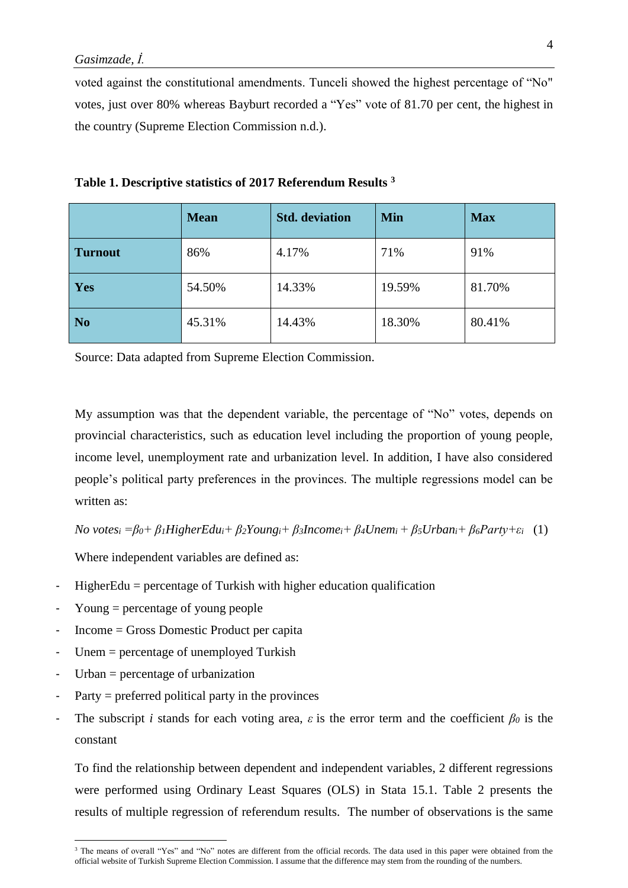voted against the constitutional amendments. Tunceli showed the highest percentage of "No" votes, just over 80% whereas Bayburt recorded a "Yes" vote of 81.70 per cent, the highest in the country (Supreme Election Commission n.d.).

|                | <b>Mean</b> | <b>Std.</b> deviation | <b>Min</b> | <b>Max</b> |
|----------------|-------------|-----------------------|------------|------------|
| <b>Turnout</b> | 86%         | 4.17%                 | 71%        | 91%        |
| Yes            | 54.50%      | 14.33%                | 19.59%     | 81.70%     |
| N <sub>0</sub> | 45.31%      | 14.43%                | 18.30%     | 80.41%     |

**Table 1. Descriptive statistics of 2017 Referendum Results <sup>3</sup>**

Source: Data adapted from Supreme Election Commission.

My assumption was that the dependent variable, the percentage of "No" votes, depends on provincial characteristics, such as education level including the proportion of young people, income level, unemployment rate and urbanization level. In addition, I have also considered people's political party preferences in the provinces. The multiple regressions model can be written as:

No votes<sub>i</sub> =  $\beta_0$ +  $\beta_1$ HigherEdu<sub>i</sub>+  $\beta_2$ Young<sub>i</sub>+  $\beta_3$ Income<sub>i</sub>+  $\beta_4$ Unem<sub>i</sub> +  $\beta_5$ Urban<sub>i</sub>+  $\beta_6$ Party+ $\varepsilon_i$  (1)

Where independent variables are defined as:

- $HigherEdu = percentage of Turkish with higher education qualification$
- Young  $=$  percentage of young people
- Income = Gross Domestic Product per capita
- $Unem = percentage of unemployed Turkish$
- $Urban = percentage of urbanization$

 $\overline{a}$ 

- $Party = preferred$  political party in the provinces
- The subscript *i* stands for each voting area,  $\varepsilon$  is the error term and the coefficient  $\beta_0$  is the constant

To find the relationship between dependent and independent variables, 2 different regressions were performed using Ordinary Least Squares (OLS) in Stata 15.1. Table 2 presents the results of multiple regression of referendum results. The number of observations is the same

<sup>&</sup>lt;sup>3</sup> The means of overall "Yes" and "No" notes are different from the official records. The data used in this paper were obtained from the official website of Turkish Supreme Election Commission. I assume that the difference may stem from the rounding of the numbers.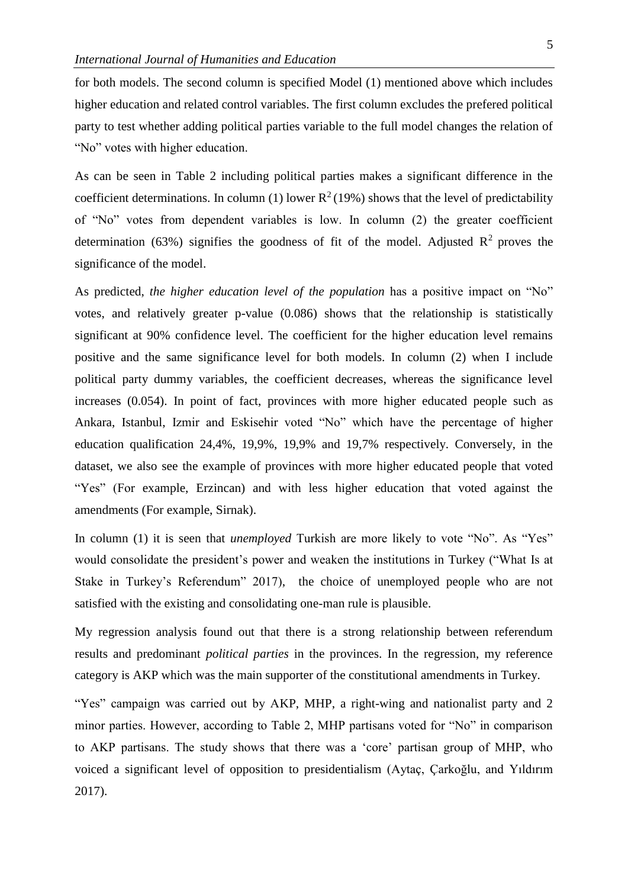for both models. The second column is specified Model (1) mentioned above which includes higher education and related control variables. The first column excludes the prefered political party to test whether adding political parties variable to the full model changes the relation of "No" votes with higher education.

As can be seen in Table 2 including political parties makes a significant difference in the coefficient determinations. In column (1) lower  $R^2(19%)$  shows that the level of predictability of "No" votes from dependent variables is low. In column (2) the greater coefficient determination (63%) signifies the goodness of fit of the model. Adjusted  $\mathbb{R}^2$  proves the significance of the model.

As predicted, *the higher education level of the population* has a positive impact on "No" votes, and relatively greater p-value (0.086) shows that the relationship is statistically significant at 90% confidence level. The coefficient for the higher education level remains positive and the same significance level for both models. In column (2) when I include political party dummy variables, the coefficient decreases, whereas the significance level increases (0.054). In point of fact, provinces with more higher educated people such as Ankara, Istanbul, Izmir and Eskisehir voted "No" which have the percentage of higher education qualification 24,4%, 19,9%, 19,9% and 19,7% respectively. Conversely, in the dataset, we also see the example of provinces with more higher educated people that voted "Yes" (For example, Erzincan) and with less higher education that voted against the amendments (For example, Sirnak).

In column (1) it is seen that *unemployed* Turkish are more likely to vote "No". As "Yes" would consolidate the president's power and weaken the institutions in Turkey ("What Is at Stake in Turkey's Referendum" 2017), the choice of unemployed people who are not satisfied with the existing and consolidating one-man rule is plausible.

My regression analysis found out that there is a strong relationship between referendum results and predominant *political parties* in the provinces. In the regression, my reference category is AKP which was the main supporter of the constitutional amendments in Turkey.

"Yes" campaign was carried out by AKP, MHP, a right-wing and nationalist party and 2 minor parties. However, according to Table 2, MHP partisans voted for "No" in comparison to AKP partisans. The study shows that there was a 'core' partisan group of MHP, who voiced a significant level of opposition to presidentialism (Aytaç, Çarkoğlu, and Yıldırım 2017).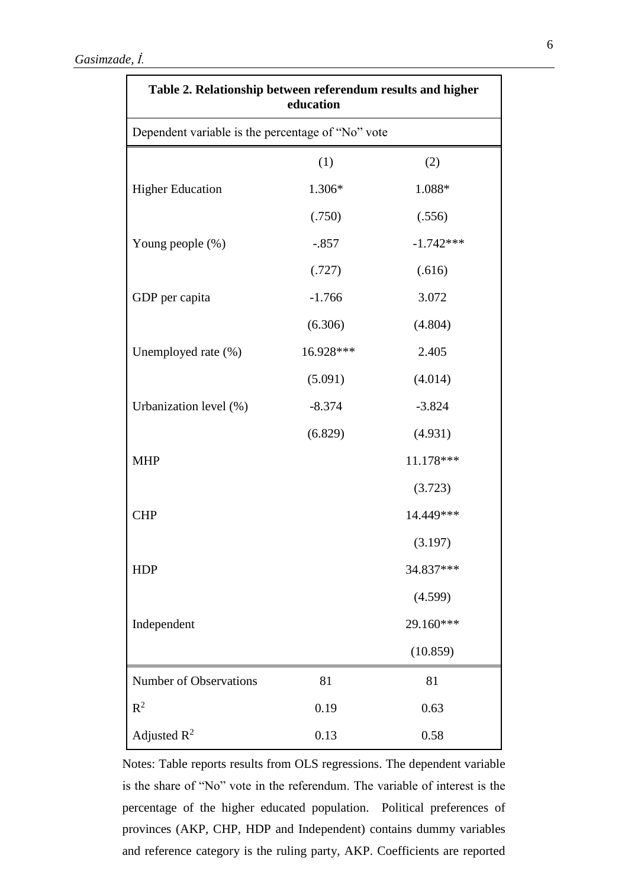| Table 2. Relationship between referendum results and higher<br>education<br>Dependent variable is the percentage of "No" vote |           |             |  |  |  |
|-------------------------------------------------------------------------------------------------------------------------------|-----------|-------------|--|--|--|
|                                                                                                                               |           |             |  |  |  |
| <b>Higher Education</b>                                                                                                       | 1.306*    | 1.088*      |  |  |  |
|                                                                                                                               | (.750)    | (.556)      |  |  |  |
| Young people (%)                                                                                                              | $-.857$   | $-1.742***$ |  |  |  |
|                                                                                                                               | (.727)    | (.616)      |  |  |  |
| GDP per capita                                                                                                                | $-1.766$  | 3.072       |  |  |  |
|                                                                                                                               | (6.306)   | (4.804)     |  |  |  |
| Unemployed rate (%)                                                                                                           | 16.928*** | 2.405       |  |  |  |
|                                                                                                                               | (5.091)   | (4.014)     |  |  |  |
| Urbanization level (%)                                                                                                        | $-8.374$  | $-3.824$    |  |  |  |
|                                                                                                                               | (6.829)   | (4.931)     |  |  |  |
| <b>MHP</b>                                                                                                                    |           | 11.178***   |  |  |  |
|                                                                                                                               |           | (3.723)     |  |  |  |
| <b>CHP</b>                                                                                                                    |           | 14.449***   |  |  |  |
|                                                                                                                               |           | (3.197)     |  |  |  |
| <b>HDP</b>                                                                                                                    |           | 34.837***   |  |  |  |
|                                                                                                                               |           | (4.599)     |  |  |  |
| Independent                                                                                                                   |           | 29.160***   |  |  |  |
|                                                                                                                               |           | (10.859)    |  |  |  |
| <b>Number of Observations</b>                                                                                                 | 81        | 81          |  |  |  |
| $R^2$                                                                                                                         | 0.19      | 0.63        |  |  |  |
| Adjusted $R^2$                                                                                                                | 0.13      | 0.58        |  |  |  |

Notes: Table reports results from OLS regressions. The dependent variable is the share of "No" vote in the referendum. The variable of interest is the percentage of the higher educated population. Political preferences of provinces (AKP, CHP, HDP and Independent) contains dummy variables and reference category is the ruling party, AKP. Coefficients are reported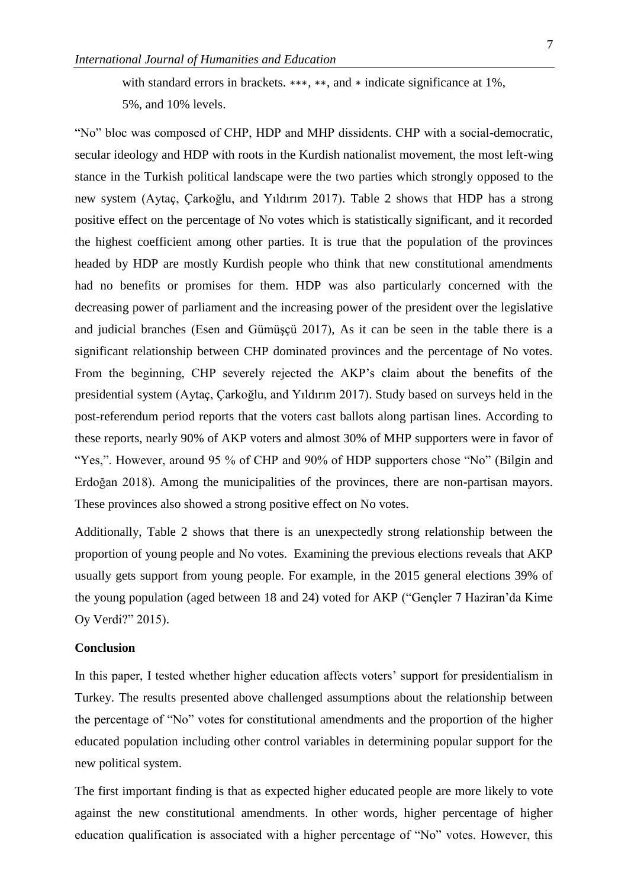with standard errors in brackets. \*\*\*, \*\*, and \* indicate significance at 1%, 5%, and 10% levels.

"No" bloc was composed of CHP, HDP and MHP dissidents. CHP with a social-democratic, secular ideology and HDP with roots in the Kurdish nationalist movement, the most left-wing stance in the Turkish political landscape were the two parties which strongly opposed to the new system (Aytaç, Çarkoğlu, and Yıldırım 2017). Table 2 shows that HDP has a strong positive effect on the percentage of No votes which is statistically significant, and it recorded the highest coefficient among other parties. It is true that the population of the provinces headed by HDP are mostly Kurdish people who think that new constitutional amendments had no benefits or promises for them. HDP was also particularly concerned with the decreasing power of parliament and the increasing power of the president over the legislative and judicial branches (Esen and Gümüşçü 2017), As it can be seen in the table there is a significant relationship between CHP dominated provinces and the percentage of No votes. From the beginning, CHP severely rejected the AKP's claim about the benefits of the presidential system (Aytaç, Çarkoğlu, and Yıldırım 2017). Study based on surveys held in the post-referendum period reports that the voters cast ballots along partisan lines. According to these reports, nearly 90% of AKP voters and almost 30% of MHP supporters were in favor of "Yes,". However, around 95 % of CHP and 90% of HDP supporters chose "No" (Bilgin and Erdoğan 2018). Among the municipalities of the provinces, there are non-partisan mayors. These provinces also showed a strong positive effect on No votes.

Additionally, Table 2 shows that there is an unexpectedly strong relationship between the proportion of young people and No votes. Examining the previous elections reveals that AKP usually gets support from young people. For example, in the 2015 general elections 39% of the young population (aged between 18 and 24) voted for AKP ("Gençler 7 Haziran'da Kime Oy Verdi?" 2015).

# **Conclusion**

In this paper, I tested whether higher education affects voters' support for presidentialism in Turkey. The results presented above challenged assumptions about the relationship between the percentage of "No" votes for constitutional amendments and the proportion of the higher educated population including other control variables in determining popular support for the new political system.

The first important finding is that as expected higher educated people are more likely to vote against the new constitutional amendments. In other words, higher percentage of higher education qualification is associated with a higher percentage of "No" votes. However, this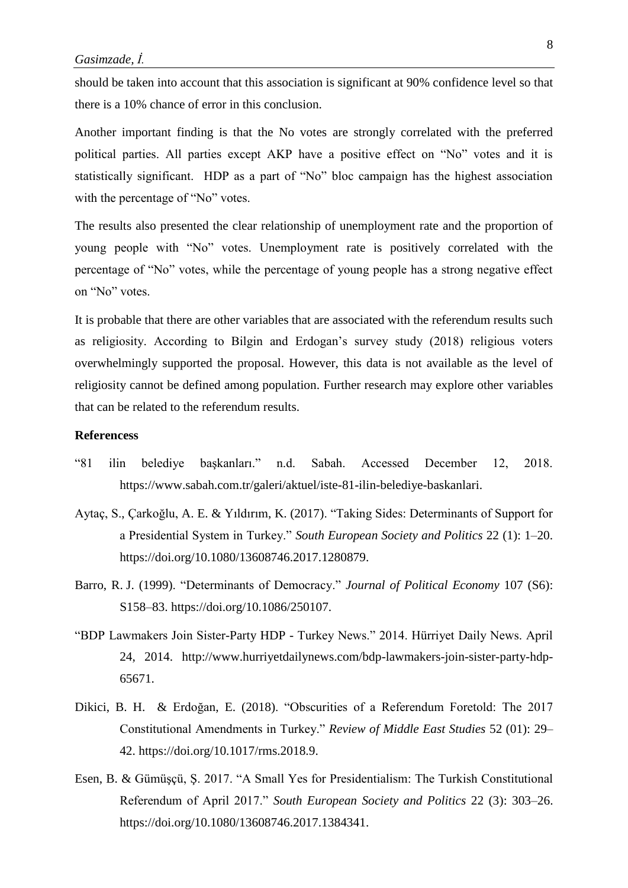should be taken into account that this association is significant at 90% confidence level so that there is a 10% chance of error in this conclusion.

Another important finding is that the No votes are strongly correlated with the preferred political parties. All parties except AKP have a positive effect on "No" votes and it is statistically significant. HDP as a part of "No" bloc campaign has the highest association with the percentage of "No" votes.

The results also presented the clear relationship of unemployment rate and the proportion of young people with "No" votes. Unemployment rate is positively correlated with the percentage of "No" votes, while the percentage of young people has a strong negative effect on "No" votes.

It is probable that there are other variables that are associated with the referendum results such as religiosity. According to Bilgin and Erdogan's survey study (2018) religious voters overwhelmingly supported the proposal. However, this data is not available as the level of religiosity cannot be defined among population. Further research may explore other variables that can be related to the referendum results.

# **Referencess**

- "81 ilin belediye başkanları." n.d. Sabah. Accessed December 12, 2018. https://www.sabah.com.tr/galeri/aktuel/iste-81-ilin-belediye-baskanlari.
- Aytaç, S., Çarkoğlu, A. E. & Yıldırım, K. (2017). "Taking Sides: Determinants of Support for a Presidential System in Turkey." *South European Society and Politics* 22 (1): 1–20. https://doi.org/10.1080/13608746.2017.1280879.
- Barro, R. J. (1999). "Determinants of Democracy." *Journal of Political Economy* 107 (S6): S158–83. https://doi.org/10.1086/250107.
- "BDP Lawmakers Join Sister-Party HDP Turkey News." 2014. Hürriyet Daily News. April 24, 2014. http://www.hurriyetdailynews.com/bdp-lawmakers-join-sister-party-hdp-65671.
- Dikici, B. H. & Erdoğan, E. (2018). "Obscurities of a Referendum Foretold: The 2017 Constitutional Amendments in Turkey." *Review of Middle East Studies* 52 (01): 29– 42. https://doi.org/10.1017/rms.2018.9.
- Esen, B. & Gümüşçü, Ş. 2017. "A Small Yes for Presidentialism: The Turkish Constitutional Referendum of April 2017." *South European Society and Politics* 22 (3): 303–26. https://doi.org/10.1080/13608746.2017.1384341.